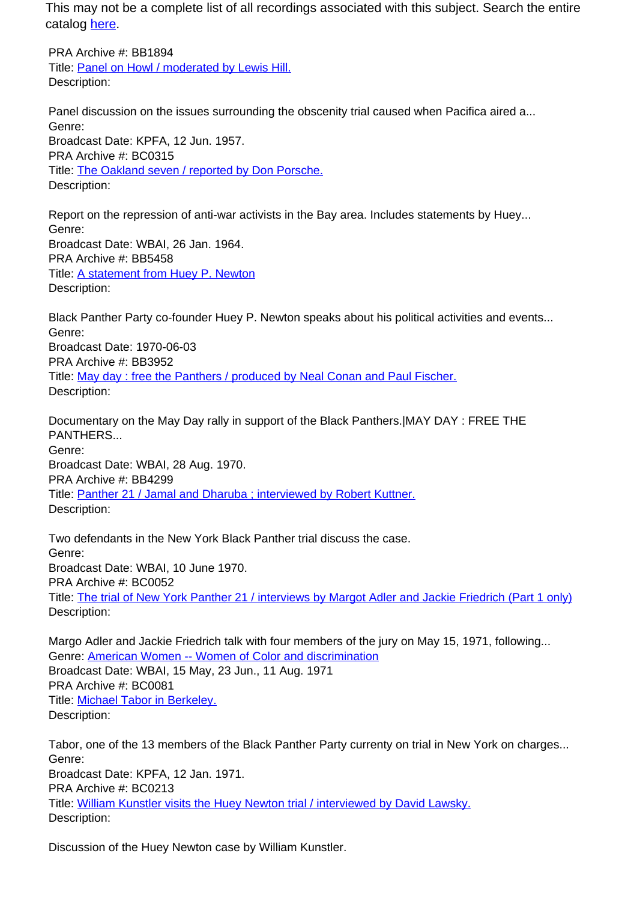This may not be a complete list of all recordings associated with this subject. Search the entire catalog [here.](http://pacificaradioarchives.org/keyword-search)

PRA Archive #: BB1894 Title: Panel on Howl / moderated by Lewis Hill. Description:

Panel discussion on the issues surrounding the obscenity trial caused when Pacifica aired a... Genre: Broadcast Date: KPFA, 12 Jun. 1957. PRA Archive #: BC0315 Title: The Oakland seven / reported by Don Porsche. Description:

Report on the repression of anti-war activists in the Bay area. Includes statements by Huey... Genre: Broadcast Date: WBAI, 26 Jan. 1964. PRA Archive #: BB5458 Title: A statement from Huey P. Newton Description:

Black Panther Party co-founder Huey P. Newton speaks about his political activities and events... Genre: Broadcast Date: 1970-06-03 PRA Archive #: BB3952 Title: May day : free the Panthers / produced by Neal Conan and Paul Fischer. Description:

Documentary on the May Day rally in support of the Black Panthers.|MAY DAY : FREE THE PANTHERS... Genre: Broadcast Date: WBAI, 28 Aug. 1970. PRA Archive #: BB4299 Title: Panther 21 / Jamal and Dharuba ; interviewed by Robert Kuttner. Description:

Two defendants in the New York Black Panther trial discuss the case. Genre: Broadcast Date: WBAI, 10 June 1970. PRA Archive #: BC0052 Title: The trial of New York Panther 21 / interviews by Margot Adler and Jackie Friedrich (Part 1 only) Description:

Margo Adler and Jackie Friedrich talk with four members of the jury on May 15, 1971, following... Genre: American Women -- Women of Color and discrimination Broadcast Date: WBAI, 15 May, 23 Jun., 11 Aug. 1971 PRA Archive #: BC0081 Title: Michael Tabor in Berkeley. Description:

Tabor, one of the 13 members of the Black Panther Party currenty on trial in New York on charges... Genre: Broadcast Date: KPFA, 12 Jan. 1971. PRA Archive #: BC0213 Title: William Kunstler visits the Huey Newton trial / interviewed by David Lawsky. Description:

Discussion of the Huey Newton case by William Kunstler.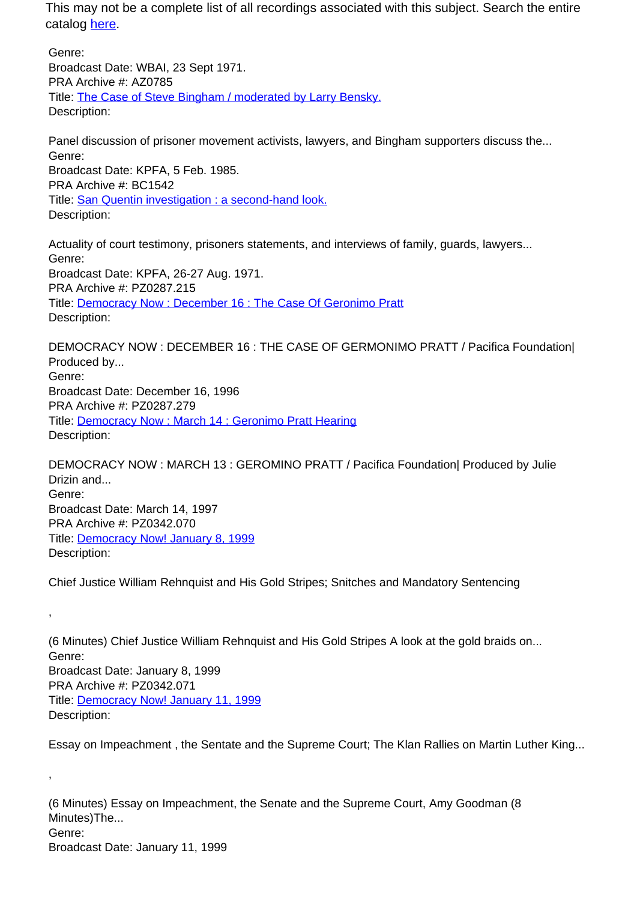This may not be a complete list of all recordings associated with this subject. Search the entire catalog here.

Genre: Broadcast Date: WBAI, 23 Sept 1971. PRA Archive #: AZ0785 Title: The Case of Steve Bingham / moderated by Larry Bensky. Description:

Panel discussion of prisoner movement activists, lawyers, and Bingham supporters discuss the... Genre: Broadcast Date: KPFA, 5 Feb. 1985. PRA Archive #: BC1542 Title: San Quentin investigation : a second-hand look. Description:

Actuality of court testimony, prisoners statements, and interviews of family, guards, lawyers... Genre: Broadcast Date: KPFA, 26-27 Aug. 1971. PRA Archive #: PZ0287.215 Title: Democracy Now : December 16 : The Case Of Geronimo Pratt Description:

DEMOCRACY NOW : DECEMBER 16 : THE CASE OF GERMONIMO PRATT / Pacifica Foundation| Produced by... Genre: Broadcast Date: December 16, 1996 PRA Archive #: PZ0287.279 Title: Democracy Now : March 14 : Geronimo Pratt Hearing Description:

DEMOCRACY NOW : MARCH 13 : GEROMINO PRATT / Pacifica Foundation| Produced by Julie Drizin and... Genre: Broadcast Date: March 14, 1997 PRA Archive #: PZ0342.070 Title: Democracy Now! January 8, 1999 Description:

Chief Justice William Rehnquist and His Gold Stripes; Snitches and Mandatory Sentencing

,

,

(6 Minutes) Chief Justice William Rehnquist and His Gold Stripes A look at the gold braids on... Genre: Broadcast Date: January 8, 1999 PRA Archive #: PZ0342.071 Title: Democracy Now! January 11, 1999 Description:

Essay on Impeachment , the Sentate and the Supreme Court; The Klan Rallies on Martin Luther King...

(6 Minutes) Essay on Impeachment, the Senate and the Supreme Court, Amy Goodman (8 Minutes)The... Genre: Broadcast Date: January 11, 1999